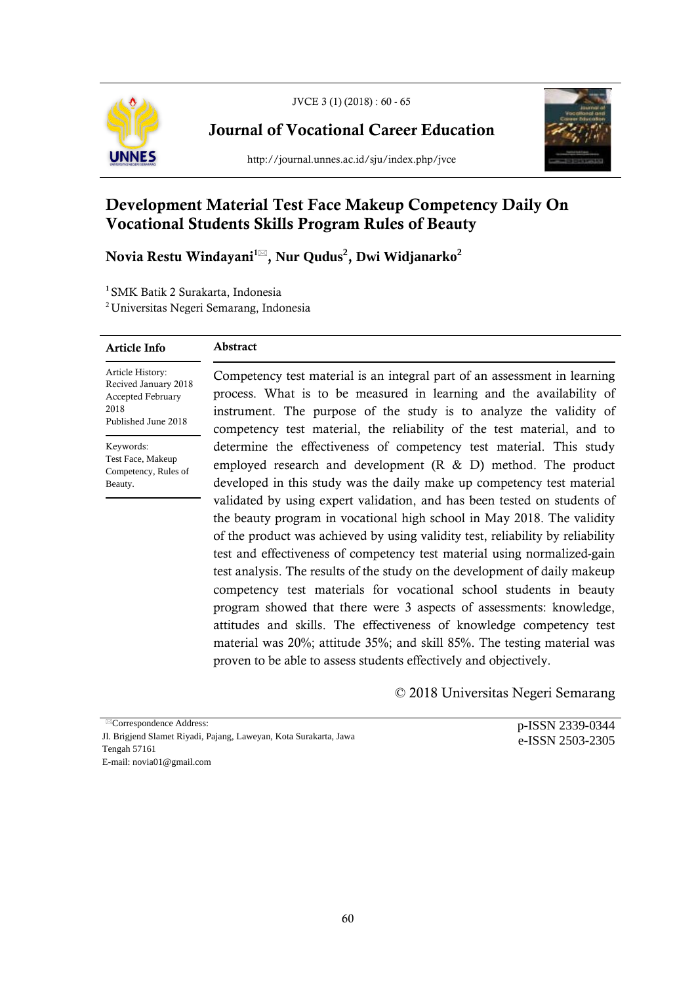

JVCE 3 (1) (2018) : 60 - 65

Journal of Vocational Career Education

http://journal.unnes.ac.id/sju/index.php/jvce



# Development Material Test Face Makeup Competency Daily On Vocational Students Skills Program Rules of Beauty

Novia Restu Windayani1 , **Nur Qudus<sup>2</sup>** , **Dwi Widjanarko2**

<sup>1</sup>SMK Batik 2 Surakarta, Indonesia

2 Universitas Negeri Semarang, Indonesia

## Article Info

# Abstract

Article History: Recived January 2018 Accepted February 2018 Published June 2018

Keywords: Test Face, Makeup Competency, Rules of Beauty.

Competency test material is an integral part of an assessment in learning process. What is to be measured in learning and the availability of instrument. The purpose of the study is to analyze the validity of competency test material, the reliability of the test material, and to determine the effectiveness of competency test material. This study employed research and development (R & D) method. The product developed in this study was the daily make up competency test material validated by using expert validation, and has been tested on students of the beauty program in vocational high school in May 2018. The validity of the product was achieved by using validity test, reliability by reliability test and effectiveness of competency test material using normalized-gain test analysis. The results of the study on the development of daily makeup competency test materials for vocational school students in beauty program showed that there were 3 aspects of assessments: knowledge, attitudes and skills. The effectiveness of knowledge competency test material was 20%; attitude 35%; and skill 85%. The testing material was proven to be able to assess students effectively and objectively.

© 2018 Universitas Negeri Semarang

Correspondence Address: Jl. Brigjend Slamet Riyadi, Pajang, Laweyan, Kota Surakarta, Jawa Tengah 57161 E-mail: novia01@gmail.com

p-ISSN 2339-0344 e-ISSN 2503-2305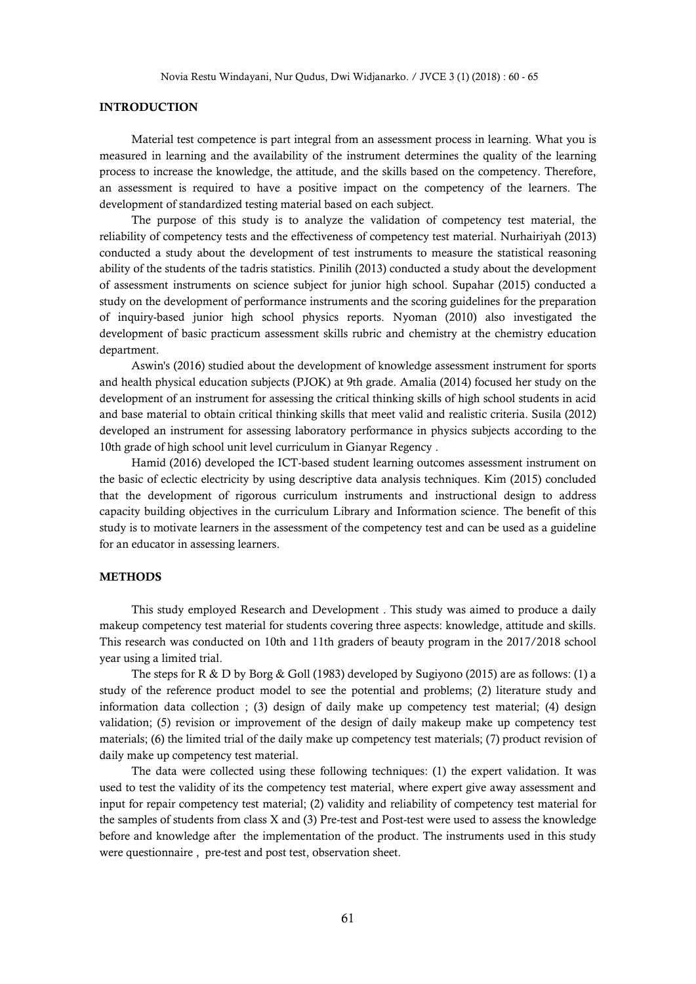Novia Restu Windayani, Nur Qudus, Dwi Widjanarko. / JVCE 3 (1) (2018) : 60 - 65

# INTRODUCTION

Material test competence is part integral from an assessment process in learning. What you is measured in learning and the availability of the instrument determines the quality of the learning process to increase the knowledge, the attitude, and the skills based on the competency. Therefore, an assessment is required to have a positive impact on the competency of the learners. The development of standardized testing material based on each subject.

The purpose of this study is to analyze the validation of competency test material, the reliability of competency tests and the effectiveness of competency test material. Nurhairiyah (2013) conducted a study about the development of test instruments to measure the statistical reasoning ability of the students of the tadris statistics. Pinilih (2013) conducted a study about the development of assessment instruments on science subject for junior high school. Supahar (2015) conducted a study on the development of performance instruments and the scoring guidelines for the preparation of inquiry-based junior high school physics reports. Nyoman (2010) also investigated the development of basic practicum assessment skills rubric and chemistry at the chemistry education department.

Aswin's (2016) studied about the development of knowledge assessment instrument for sports and health physical education subjects (PJOK) at 9th grade. Amalia (2014) focused her study on the development of an instrument for assessing the critical thinking skills of high school students in acid and base material to obtain critical thinking skills that meet valid and realistic criteria. Susila (2012) developed an instrument for assessing laboratory performance in physics subjects according to the 10th grade of high school unit level curriculum in Gianyar Regency .

Hamid (2016) developed the ICT-based student learning outcomes assessment instrument on the basic of eclectic electricity by using descriptive data analysis techniques. Kim (2015) concluded that the development of rigorous curriculum instruments and instructional design to address capacity building objectives in the curriculum Library and Information science. The benefit of this study is to motivate learners in the assessment of the competency test and can be used as a guideline for an educator in assessing learners.

#### METHODS

This study employed Research and Development . This study was aimed to produce a daily makeup competency test material for students covering three aspects: knowledge, attitude and skills. This research was conducted on 10th and 11th graders of beauty program in the 2017/2018 school year using a limited trial.

The steps for R & D by Borg & Goll (1983) developed by Sugiyono (2015) are as follows: (1) a study of the reference product model to see the potential and problems; (2) literature study and information data collection ; (3) design of daily make up competency test material; (4) design validation; (5) revision or improvement of the design of daily makeup make up competency test materials; (6) the limited trial of the daily make up competency test materials; (7) product revision of daily make up competency test material.

The data were collected using these following techniques: (1) the expert validation. It was used to test the validity of its the competency test material, where expert give away assessment and input for repair competency test material; (2) validity and reliability of competency test material for the samples of students from class X and (3) Pre-test and Post-test were used to assess the knowledge before and knowledge after the implementation of the product. The instruments used in this study were questionnaire , pre-test and post test, observation sheet.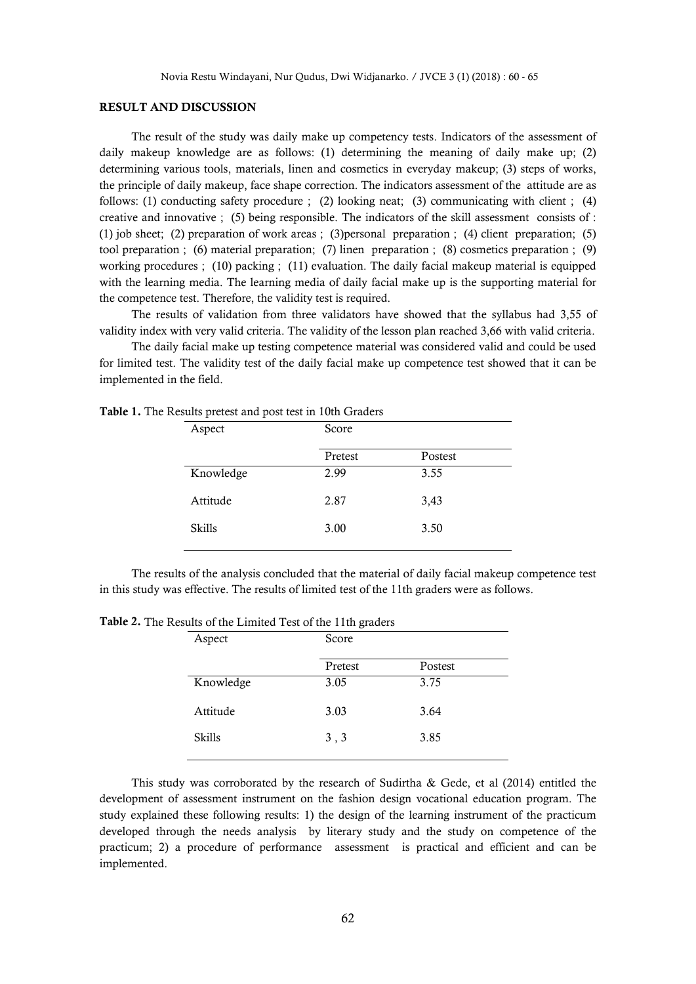## RESULT AND DISCUSSION

The result of the study was daily make up competency tests. Indicators of the assessment of daily makeup knowledge are as follows: (1) determining the meaning of daily make up; (2) determining various tools, materials, linen and cosmetics in everyday makeup; (3) steps of works, the principle of daily makeup, face shape correction. The indicators assessment of the attitude are as follows: (1) conducting safety procedure ; (2) looking neat; (3) communicating with client ; (4) creative and innovative ; (5) being responsible. The indicators of the skill assessment consists of : (1) job sheet; (2) preparation of work areas ; (3)personal preparation ; (4) client preparation; (5) tool preparation ; (6) material preparation; (7) linen preparation ; (8) cosmetics preparation ; (9) working procedures ; (10) packing ; (11) evaluation. The daily facial makeup material is equipped with the learning media. The learning media of daily facial make up is the supporting material for the competence test. Therefore, the validity test is required.

The results of validation from three validators have showed that the syllabus had 3,55 of validity index with very valid criteria. The validity of the lesson plan reached 3,66 with valid criteria.

The daily facial make up testing competence material was considered valid and could be used for limited test. The validity test of the daily facial make up competence test showed that it can be implemented in the field.

| Aspect    | Score   |         |
|-----------|---------|---------|
|           | Pretest | Postest |
| Knowledge | 2.99    | 3.55    |
| Attitude  | 2.87    | 3,43    |
| Skills    | 3.00    | 3.50    |
|           |         |         |

Table 1. The Results pretest and post test in 10th Graders

The results of the analysis concluded that the material of daily facial makeup competence test in this study was effective. The results of limited test of the 11th graders were as follows.

| Aspect    | Score   |         |  |
|-----------|---------|---------|--|
|           | Pretest | Postest |  |
| Knowledge | 3.05    | 3.75    |  |
| Attitude  | 3.03    | 3.64    |  |
| Skills    | 3, 3    | 3.85    |  |
|           |         |         |  |

Table 2. The Results of the Limited Test of the 11th graders

This study was corroborated by the research of Sudirtha & Gede, et al (2014) entitled the development of assessment instrument on the fashion design vocational education program. The study explained these following results: 1) the design of the learning instrument of the practicum developed through the needs analysis by literary study and the study on competence of the practicum; 2) a procedure of performance assessment is practical and efficient and can be implemented.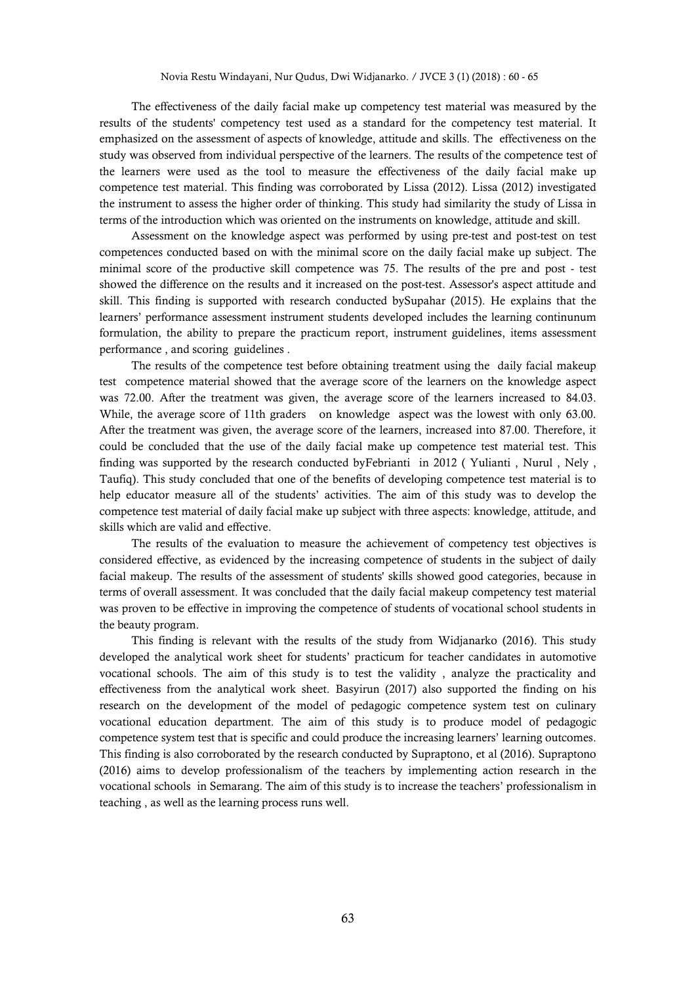The effectiveness of the daily facial make up competency test material was measured by the results of the students' competency test used as a standard for the competency test material. It emphasized on the assessment of aspects of knowledge, attitude and skills. The effectiveness on the study was observed from individual perspective of the learners. The results of the competence test of the learners were used as the tool to measure the effectiveness of the daily facial make up competence test material. This finding was corroborated by Lissa (2012). Lissa (2012) investigated the instrument to assess the higher order of thinking. This study had similarity the study of Lissa in terms of the introduction which was oriented on the instruments on knowledge, attitude and skill.

Assessment on the knowledge aspect was performed by using pre-test and post-test on test competences conducted based on with the minimal score on the daily facial make up subject. The minimal score of the productive skill competence was 75. The results of the pre and post - test showed the difference on the results and it increased on the post-test. Assessor's aspect attitude and skill. This finding is supported with research conducted bySupahar (2015). He explains that the learners' performance assessment instrument students developed includes the learning continunum formulation, the ability to prepare the practicum report, instrument guidelines, items assessment performance , and scoring guidelines .

The results of the competence test before obtaining treatment using the daily facial makeup test competence material showed that the average score of the learners on the knowledge aspect was 72.00. After the treatment was given, the average score of the learners increased to 84.03. While, the average score of 11th graders on knowledge aspect was the lowest with only 63.00. After the treatment was given, the average score of the learners, increased into 87.00. Therefore, it could be concluded that the use of the daily facial make up competence test material test. This finding was supported by the research conducted byFebrianti in 2012 ( Yulianti , Nurul , Nely , Taufiq). This study concluded that one of the benefits of developing competence test material is to help educator measure all of the students' activities. The aim of this study was to develop the competence test material of daily facial make up subject with three aspects: knowledge, attitude, and skills which are valid and effective.

The results of the evaluation to measure the achievement of competency test objectives is considered effective, as evidenced by the increasing competence of students in the subject of daily facial makeup. The results of the assessment of students' skills showed good categories, because in terms of overall assessment. It was concluded that the daily facial makeup competency test material was proven to be effective in improving the competence of students of vocational school students in the beauty program.

This finding is relevant with the results of the study from Widjanarko (2016). This study developed the analytical work sheet for students' practicum for teacher candidates in automotive vocational schools. The aim of this study is to test the validity , analyze the practicality and effectiveness from the analytical work sheet. Basyirun (2017) also supported the finding on his research on the development of the model of pedagogic competence system test on culinary vocational education department. The aim of this study is to produce model of pedagogic competence system test that is specific and could produce the increasing learners' learning outcomes. This finding is also corroborated by the research conducted by Supraptono, et al (2016). Supraptono (2016) aims to develop professionalism of the teachers by implementing action research in the vocational schools in Semarang. The aim of this study is to increase the teachers' professionalism in teaching , as well as the learning process runs well.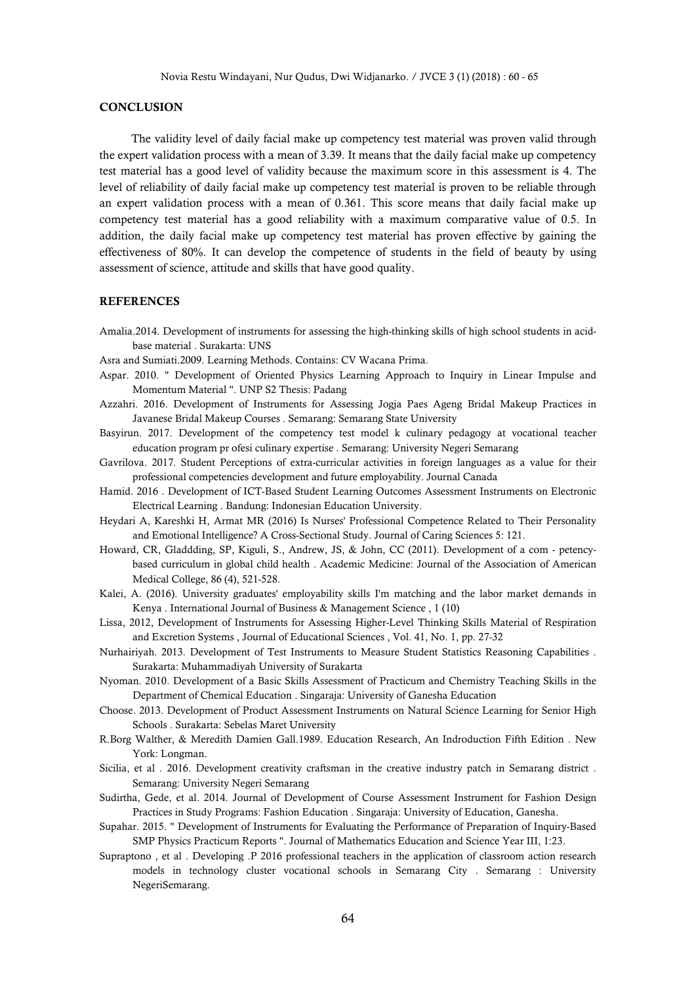## **CONCLUSION**

The validity level of daily facial make up competency test material was proven valid through the expert validation process with a mean of 3.39. It means that the daily facial make up competency test material has a good level of validity because the maximum score in this assessment is 4. The level of reliability of daily facial make up competency test material is proven to be reliable through an expert validation process with a mean of 0.361. This score means that daily facial make up competency test material has a good reliability with a maximum comparative value of 0.5. In addition, the daily facial make up competency test material has proven effective by gaining the effectiveness of 80%. It can develop the competence of students in the field of beauty by using assessment of science, attitude and skills that have good quality.

# **REFERENCES**

- Amalia.2014. Development of instruments for assessing the high-thinking skills of high school students in acidbase material . Surakarta: UNS
- Asra and Sumiati.2009. Learning Methods. Contains: CV Wacana Prima.
- Aspar. 2010. " Development of Oriented Physics Learning Approach to Inquiry in Linear Impulse and Momentum Material ". UNP S2 Thesis: Padang
- Azzahri. 2016. Development of Instruments for Assessing Jogja Paes Ageng Bridal Makeup Practices in Javanese Bridal Makeup Courses . Semarang: Semarang State University
- Basyirun. 2017. Development of the competency test model k culinary pedagogy at vocational teacher education program pr ofesi culinary expertise . Semarang: University Negeri Semarang
- Gavrilova. 2017. Student Perceptions of extra-curricular activities in foreign languages as a value for their professional competencies development and future employability. Journal Canada
- Hamid. 2016 . Development of ICT-Based Student Learning Outcomes Assessment Instruments on Electronic Electrical Learning . Bandung: Indonesian Education University.
- Heydari A, Kareshki H, Armat MR (2016) Is Nurses' Professional Competence Related to Their Personality and Emotional Intelligence? A Cross-Sectional Study. Journal of Caring Sciences 5: 121.
- Howard, CR, Gladdding, SP, Kiguli, S., Andrew, JS, & John, CC (2011). Development of a com petencybased curriculum in global child health . Academic Medicine: Journal of the Association of American Medical College, 86 (4), 521-528.
- Kalei, A. (2016). University graduates' employability skills I'm matching and the labor market demands in Kenya . International Journal of Business & Management Science , 1 (10)
- Lissa, 2012, Development of Instruments for Assessing Higher-Level Thinking Skills Material of Respiration and Excretion Systems , Journal of Educational Sciences , Vol. 41, No. 1, pp. 27-32
- Nurhairiyah. 2013. Development of Test Instruments to Measure Student Statistics Reasoning Capabilities . Surakarta: Muhammadiyah University of Surakarta
- Nyoman. 2010. Development of a Basic Skills Assessment of Practicum and Chemistry Teaching Skills in the Department of Chemical Education . Singaraja: University of Ganesha Education
- Choose. 2013. Development of Product Assessment Instruments on Natural Science Learning for Senior High Schools . Surakarta: Sebelas Maret University
- R.Borg Walther, & Meredith Damien Gall.1989. Education Research, An Indroduction Fifth Edition . New York: Longman.
- Sicilia, et al . 2016. Development creativity craftsman in the creative industry patch in Semarang district . Semarang: University Negeri Semarang
- Sudirtha, Gede, et al. 2014. Journal of Development of Course Assessment Instrument for Fashion Design Practices in Study Programs: Fashion Education . Singaraja: University of Education, Ganesha.
- Supahar. 2015. " Development of Instruments for Evaluating the Performance of Preparation of Inquiry-Based SMP Physics Practicum Reports ". Journal of Mathematics Education and Science Year III, 1:23.
- Supraptono , et al . Developing .P 2016 professional teachers in the application of classroom action research models in technology cluster vocational schools in Semarang City . Semarang : University NegeriSemarang.